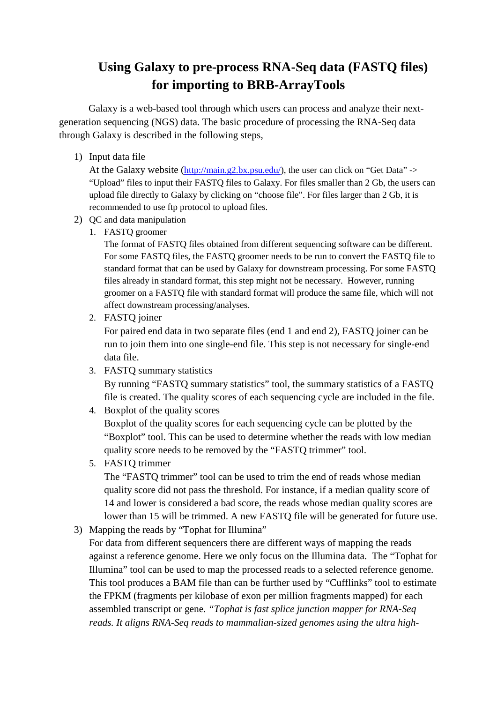## **Using Galaxy to pre-process RNA-Seq data (FASTQ files) for importing to BRB-ArrayTools**

Galaxy is a web-based tool through which users can process and analyze their nextgeneration sequencing (NGS) data. The basic procedure of processing the RNA-Seq data through Galaxy is described in the following steps,

1) Input data file

At the Galaxy website  $(\frac{http://main.g2.bx.psu.edu/}{http://main.g2.bx.psu.edu/}{http://main.g2.bx.psu.edu/}{http://main.g2.bx.psu.edu/}{http://main.g2.bx.psu.edu/}{http://main.g2.bx.psu.edu/}{http://main.g2.bx.psu.edu/}{http://main.g2.bx.psu.edu/}{http://main.g2.bx.psu.edu/}{http://main.g2.bx.psu.edu/}{http://main.g2.bx.psu.edu/}{http://main.g2.bx.psu.edu/}{http://main.g2.bx.psu.edu/}{http://main.g2.bx.psu.edu/}{http://main.g2.bx.psu.edu/}{http://main.g2.bx.psu.edu/}{http://main$ "Upload" files to input their FASTQ files to Galaxy. For files smaller than 2 Gb, the users can upload file directly to Galaxy by clicking on "choose file". For files larger than 2 Gb, it is recommended to use ftp protocol to upload files.

- 2) QC and data manipulation
	- 1. FASTQ groomer

The format of FASTQ files obtained from different sequencing software can be different. For some FASTQ files, the FASTQ groomer needs to be run to convert the FASTQ file to standard format that can be used by Galaxy for downstream processing. For some FASTQ files already in standard format, this step might not be necessary. However, running groomer on a FASTQ file with standard format will produce the same file, which will not affect downstream processing/analyses.

2. FASTQ joiner

For paired end data in two separate files (end 1 and end 2), FASTQ joiner can be run to join them into one single-end file. This step is not necessary for single-end data file.

3. FASTQ summary statistics

By running "FASTQ summary statistics" tool, the summary statistics of a FASTQ file is created. The quality scores of each sequencing cycle are included in the file.

4. Boxplot of the quality scores

Boxplot of the quality scores for each sequencing cycle can be plotted by the "Boxplot" tool. This can be used to determine whether the reads with low median quality score needs to be removed by the "FASTQ trimmer" tool.

5. FASTQ trimmer

The "FASTQ trimmer" tool can be used to trim the end of reads whose median quality score did not pass the threshold. For instance, if a median quality score of 14 and lower is considered a bad score, the reads whose median quality scores are lower than 15 will be trimmed. A new FASTQ file will be generated for future use.

3) Mapping the reads by "Tophat for Illumina"

For data from different sequencers there are different ways of mapping the reads against a reference genome. Here we only focus on the Illumina data. The "Tophat for Illumina" tool can be used to map the processed reads to a selected reference genome. This tool produces a BAM file than can be further used by "Cufflinks" tool to estimate the FPKM (fragments per kilobase of exon per million fragments mapped) for each assembled transcript or gene. *"Tophat is fast splice junction mapper for RNA-Seq reads. It aligns RNA-Seq reads to mammalian-sized genomes using the ultra high-*